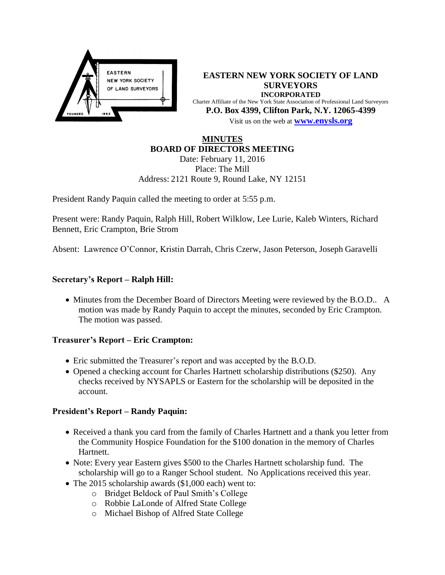

**EASTERN NEW YORK SOCIETY OF LAND SURVEYORS INCORPORATED** Charter Affiliate of the New York State Association of Professional Land Surveyors **P.O. Box 4399, Clifton Park, N.Y. 12065-4399** Visit us on the web at **[www.e](http://www.enysls.org/)nysls.org**

# **MINUTES BOARD OF DIRECTORS MEETING**

Date: February 11, 2016 Place: The Mill Address: 2121 Route 9, Round Lake, NY 12151

President Randy Paquin called the meeting to order at 5:55 p.m.

Present were: Randy Paquin, Ralph Hill, Robert Wilklow, Lee Lurie, Kaleb Winters, Richard Bennett, Eric Crampton, Brie Strom

Absent: Lawrence O'Connor, Kristin Darrah, Chris Czerw, Jason Peterson, Joseph Garavelli

## **Secretary's Report – Ralph Hill:**

• Minutes from the December Board of Directors Meeting were reviewed by the B.O.D.. A motion was made by Randy Paquin to accept the minutes, seconded by Eric Crampton. The motion was passed.

## **Treasurer's Report – Eric Crampton:**

- Eric submitted the Treasurer's report and was accepted by the B.O.D.
- Opened a checking account for Charles Hartnett scholarship distributions (\$250). Any checks received by NYSAPLS or Eastern for the scholarship will be deposited in the account.

## **President's Report – Randy Paquin:**

- Received a thank you card from the family of Charles Hartnett and a thank you letter from the Community Hospice Foundation for the \$100 donation in the memory of Charles Hartnett.
- Note: Every year Eastern gives \$500 to the Charles Hartnett scholarship fund. The scholarship will go to a Ranger School student. No Applications received this year.
- The 2015 scholarship awards (\$1,000 each) went to:
	- o Bridget Beldock of Paul Smith's College
		- o Robbie LaLonde of Alfred State College
		- o Michael Bishop of Alfred State College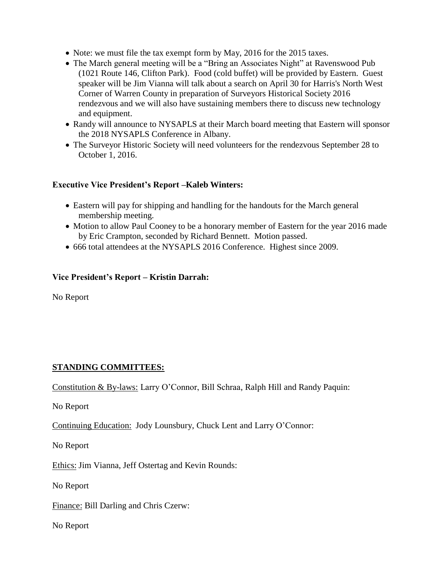- Note: we must file the tax exempt form by May, 2016 for the 2015 taxes.
- The March general meeting will be a "Bring an Associates Night" at Ravenswood Pub (1021 Route 146, Clifton Park). Food (cold buffet) will be provided by Eastern. Guest speaker will be Jim Vianna will talk about a search on April 30 for Harris's North West Corner of Warren County in preparation of Surveyors Historical Society 2016 rendezvous and we will also have sustaining members there to discuss new technology and equipment.
- Randy will announce to NYSAPLS at their March board meeting that Eastern will sponsor the 2018 NYSAPLS Conference in Albany.
- The Surveyor Historic Society will need volunteers for the rendezvous September 28 to October 1, 2016.

## **Executive Vice President's Report –Kaleb Winters:**

- Eastern will pay for shipping and handling for the handouts for the March general membership meeting.
- Motion to allow Paul Cooney to be a honorary member of Eastern for the year 2016 made by Eric Crampton, seconded by Richard Bennett. Motion passed.
- 666 total attendees at the NYSAPLS 2016 Conference. Highest since 2009.

#### **Vice President's Report – Kristin Darrah:**

No Report

## **STANDING COMMITTEES:**

Constitution & By-laws: Larry O'Connor, Bill Schraa, Ralph Hill and Randy Paquin:

No Report

Continuing Education: Jody Lounsbury, Chuck Lent and Larry O'Connor:

No Report

Ethics: Jim Vianna, Jeff Ostertag and Kevin Rounds:

No Report

Finance: Bill Darling and Chris Czerw:

No Report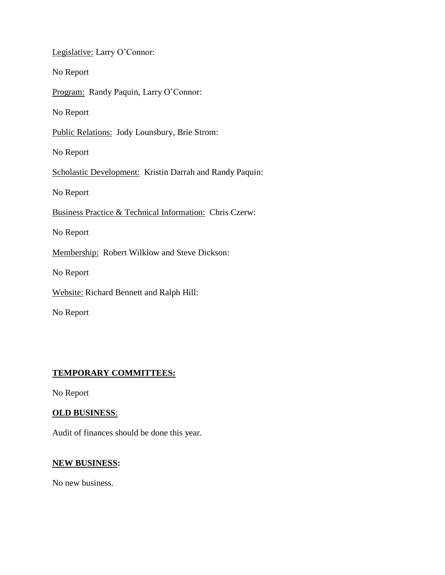Legislative: Larry O'Connor:

No Report

Program: Randy Paquin, Larry O'Connor:

No Report

Public Relations: Jody Lounsbury, Brie Strom:

No Report

Scholastic Development: Kristin Darrah and Randy Paquin:

No Report

Business Practice & Technical Information: Chris Czerw:

No Report

Membership: Robert Wilklow and Steve Dickson:

No Report

Website: Richard Bennett and Ralph Hill:

No Report

# **TEMPORARY COMMITTEES:**

No Report

## **OLD BUSINESS**:

Audit of finances should be done this year.

#### **NEW BUSINESS:**

No new business.